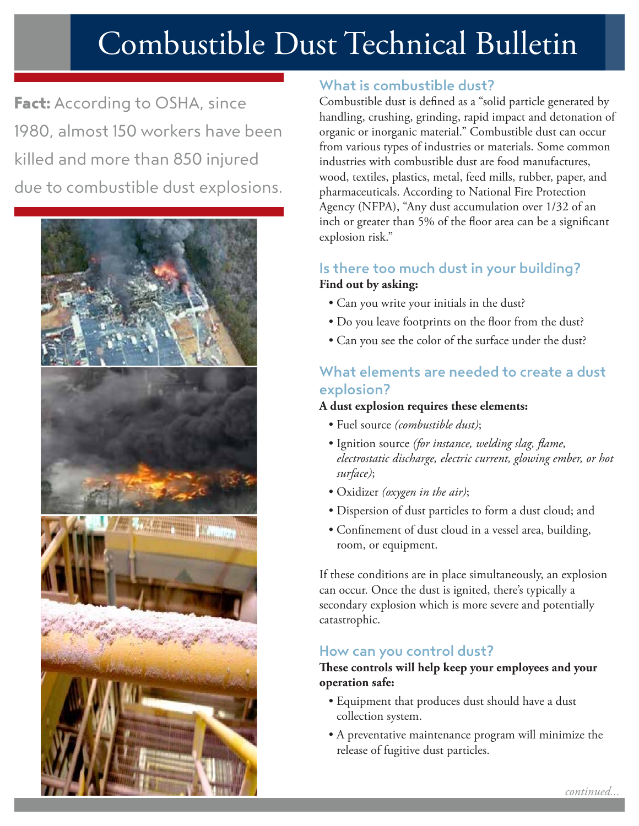# Combustible Dust Technical Bulletin

Fact: According to OSHA, since 1980, almost 150 workers have been killed and more than 850 injured due to combustible dust explosions.



# What is combustible dust?

Combustible dust is defined as a "solid particle generated by handling, crushing, grinding, rapid impact and detonation of organic or inorganic material." Combustible dust can occur from various types of industries or materials. Some common industries with combustible dust are food manufactures, wood, textiles, plastics, metal, feed mills, rubber, paper, and pharmaceuticals. According to National Fire Protection Agency (NFPA), "Any dust accumulation over 1/32 of an inch or greater than 5% of the floor area can be a significant explosion risk."

## Is there too much dust in your building? **Find out by asking:**

- Can you write your initials in the dust?
- Do you leave footprints on the floor from the dust?
- Can you see the color of the surface under the dust?

## What elements are needed to create a dust explosion?

#### **A dust explosion requires these elements:**

- Fuel source *(combustible dust)*;
- Ignition source *(for instance, welding slag, flame, electrostatic discharge, electric current, glowing ember, or hot surface)*;
- Oxidizer *(oxygen in the air)*;
- Dispersion of dust particles to form a dust cloud; and
- Confinement of dust cloud in a vessel area, building, room, or equipment.

If these conditions are in place simultaneously, an explosion can occur. Once the dust is ignited, there's typically a secondary explosion which is more severe and potentially catastrophic.

## How can you control dust?

#### **These controls will help keep your employees and your operation safe:**

- Equipment that produces dust should have a dust collection system.
- A preventative maintenance program will minimize the release of fugitive dust particles.